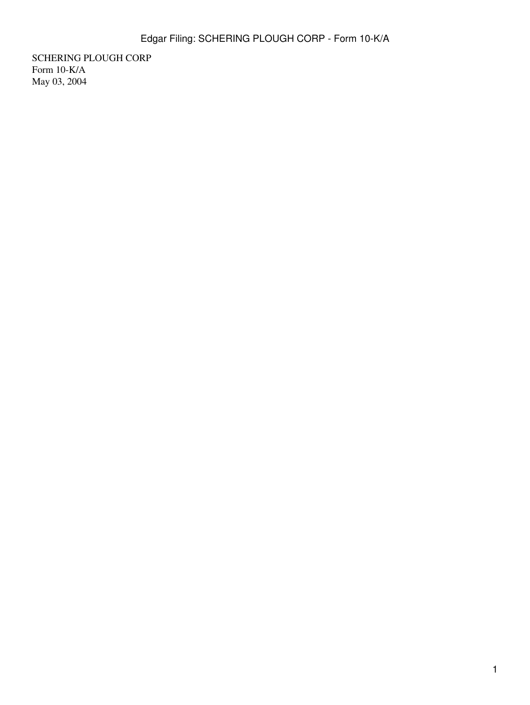SCHERING PLOUGH CORP Form 10-K/A May 03, 2004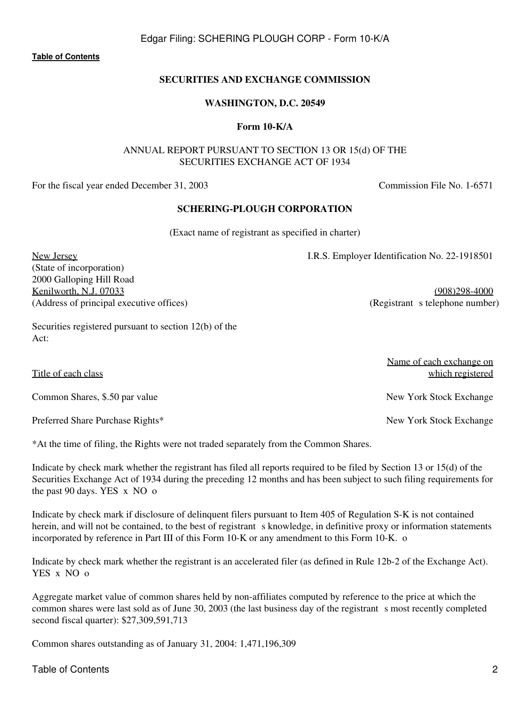**[Table of Contents](#page-3-0)**

(State of incorporation) 2000 Galloping Hill Road

Act:

### **SECURITIES AND EXCHANGE COMMISSION**

### **WASHINGTON, D.C. 20549**

#### **Form 10-K/A**

#### ANNUAL REPORT PURSUANT TO SECTION 13 OR 15(d) OF THE SECURITIES EXCHANGE ACT OF 1934

For the fiscal year ended December 31, 2003 Commission File No. 1-6571

Securities registered pursuant to section 12(b) of the

#### **SCHERING-PLOUGH CORPORATION**

(Exact name of registrant as specified in charter)

New Jersey I.R.S. Employer Identification No. 22-1918501

Kenilworth, N.J. 07033 (908)298-4000 (Address of principal executive offices) (Registrant s telephone number)

Name of each exchange on Title of each class which registered

Common Shares, \$.50 par value  $\blacksquare$  New York Stock Exchange

Preferred Share Purchase Rights\* New York Stock Exchange

\*At the time of filing, the Rights were not traded separately from the Common Shares.

Indicate by check mark whether the registrant has filed all reports required to be filed by Section 13 or 15(d) of the Securities Exchange Act of 1934 during the preceding 12 months and has been subject to such filing requirements for the past 90 days. YES x NO o

Indicate by check mark if disclosure of delinquent filers pursuant to Item 405 of Regulation S-K is not contained herein, and will not be contained, to the best of registrant s knowledge, in definitive proxy or information statements incorporated by reference in Part III of this Form 10-K or any amendment to this Form 10-K. o

Indicate by check mark whether the registrant is an accelerated filer (as defined in Rule 12b-2 of the Exchange Act). YES x NO o

Aggregate market value of common shares held by non-affiliates computed by reference to the price at which the common shares were last sold as of June 30, 2003 (the last business day of the registrant s most recently completed second fiscal quarter): \$27,309,591,713

Common shares outstanding as of January 31, 2004: 1,471,196,309

### Table of Contents 2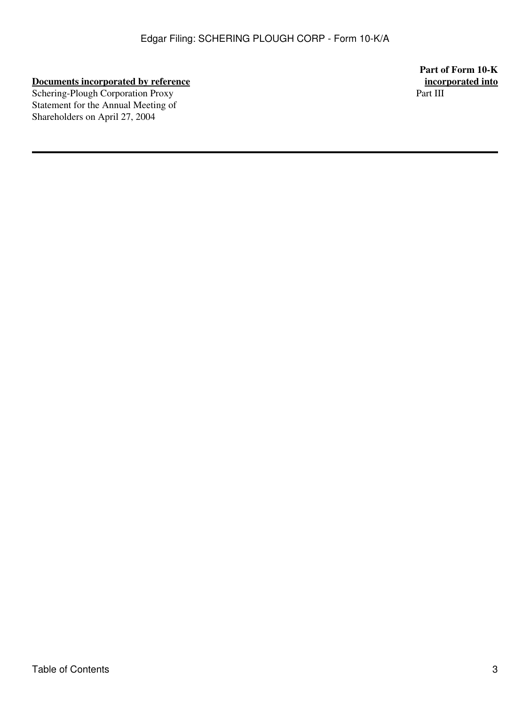# **Documents incorporated by reference**

Schering-Plough Corporation Proxy Statement for the Annual Meeting of Shareholders on April 27, 2004

**Part of Form 10-K** Part III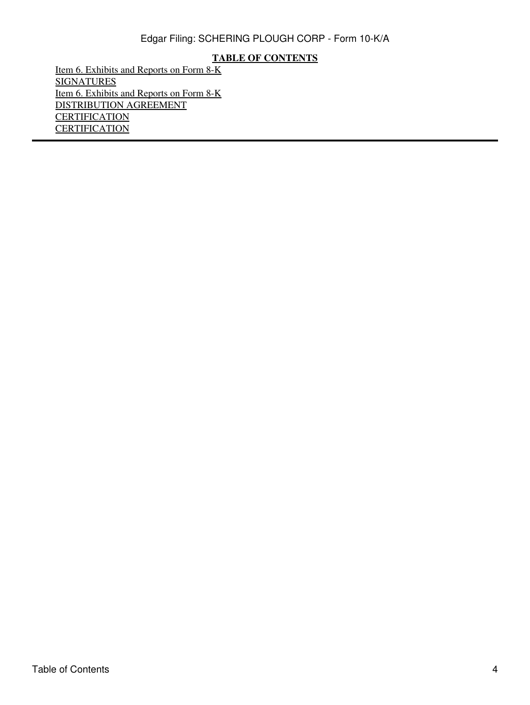# **TABLE OF CONTENTS**

<span id="page-3-0"></span>[Item 6. Exhibits and Reports on Form 8-K](#page-5-0) **[SIGNATURES](#page-6-0)** [Item 6. Exhibits and Reports on Form 8-K](#page-9-0) DISTRIBUTION AGREEMENT **CERTIFICATION CERTIFICATION**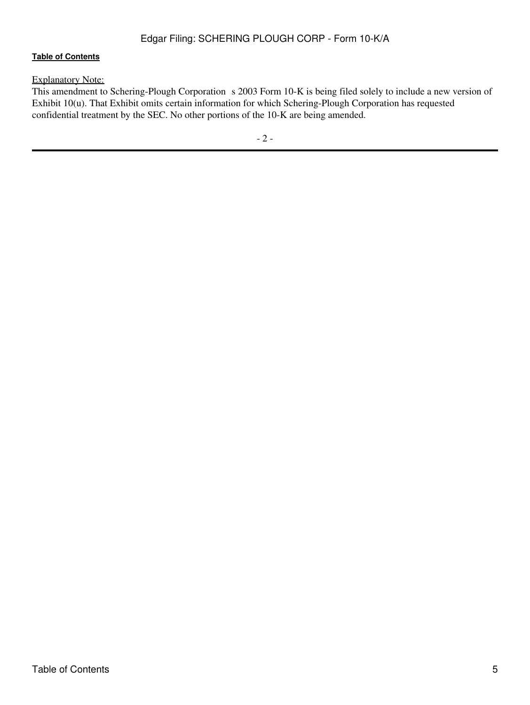#### **[Table of Contents](#page-3-0)**

# Explanatory Note:

This amendment to Schering-Plough Corporation s 2003 Form 10-K is being filed solely to include a new version of Exhibit 10(u). That Exhibit omits certain information for which Schering-Plough Corporation has requested confidential treatment by the SEC. No other portions of the 10-K are being amended.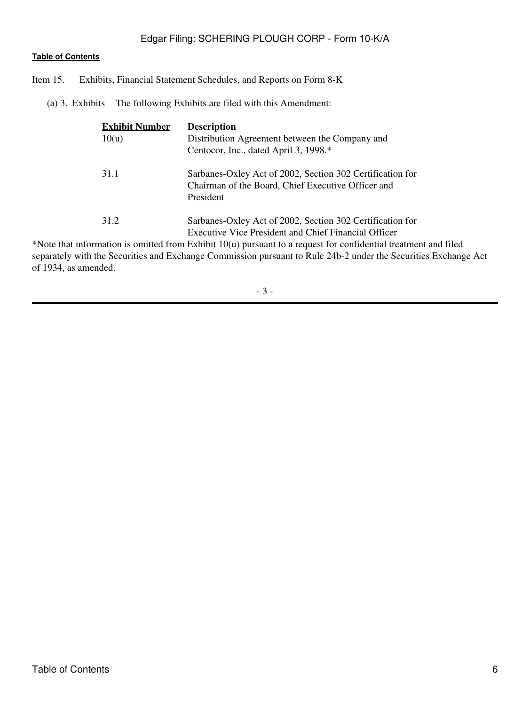#### **[Table of Contents](#page-3-0)**

<span id="page-5-0"></span>Item 15. Exhibits, Financial Statement Schedules, and Reports on Form 8-K

(a) 3. Exhibits The following Exhibits are filed with this Amendment:

| <b>Exhibit Number</b> | <b>Description</b>                                                                                                |  |  |  |
|-----------------------|-------------------------------------------------------------------------------------------------------------------|--|--|--|
| 10(u)                 | Distribution Agreement between the Company and                                                                    |  |  |  |
|                       | Centocor, Inc., dated April 3, 1998.*                                                                             |  |  |  |
| 31.1                  | Sarbanes-Oxley Act of 2002, Section 302 Certification for                                                         |  |  |  |
|                       | Chairman of the Board, Chief Executive Officer and                                                                |  |  |  |
|                       | President                                                                                                         |  |  |  |
| 31.2                  | Sarbanes-Oxley Act of 2002, Section 302 Certification for                                                         |  |  |  |
|                       | <b>Executive Vice President and Chief Financial Officer</b>                                                       |  |  |  |
|                       | *Note that information is omitted from Exhibit $10(u)$ pursuant to a request for confidential treatment and filed |  |  |  |
|                       | separately with the Securities and Exchange Commission pursuant to Rule 24b-2 under the Securities Exchange Act   |  |  |  |
| of 1934, as amended.  |                                                                                                                   |  |  |  |

- 3 -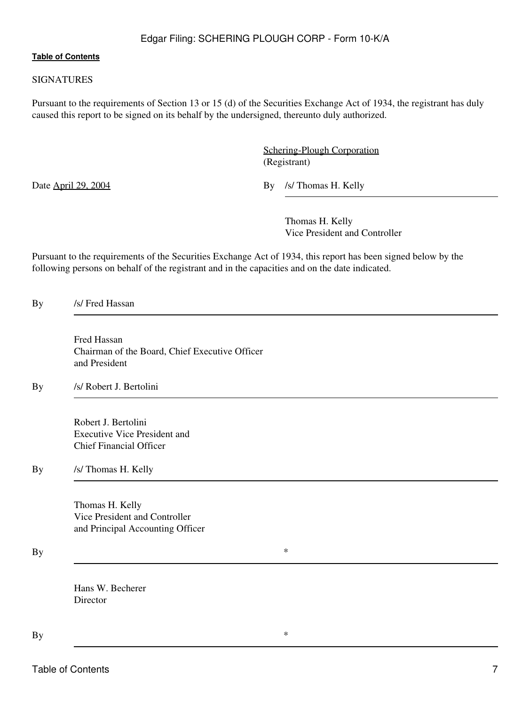### **[Table of Contents](#page-3-0)**

### <span id="page-6-0"></span>SIGNATURES

Pursuant to the requirements of Section 13 or 15 (d) of the Securities Exchange Act of 1934, the registrant has duly caused this report to be signed on its behalf by the undersigned, thereunto duly authorized.

> Schering-Plough Corporation (Registrant)

Date April 29, 2004 By /s/ Thomas H. Kelly

Thomas H. Kelly Vice President and Controller

Pursuant to the requirements of the Securities Exchange Act of 1934, this report has been signed below by the following persons on behalf of the registrant and in the capacities and on the date indicated.

By /s/ Fred Hassan

Fred Hassan Chairman of the Board, Chief Executive Officer and President

By /s/ Robert J. Bertolini

Robert J. Bertolini Executive Vice President and Chief Financial Officer

By /s/ Thomas H. Kelly

Thomas H. Kelly Vice President and Controller and Principal Accounting Officer

 $\mathbf{B}$ y \*

Hans W. Becherer Director

 $\mathbf{B}$ y \*\*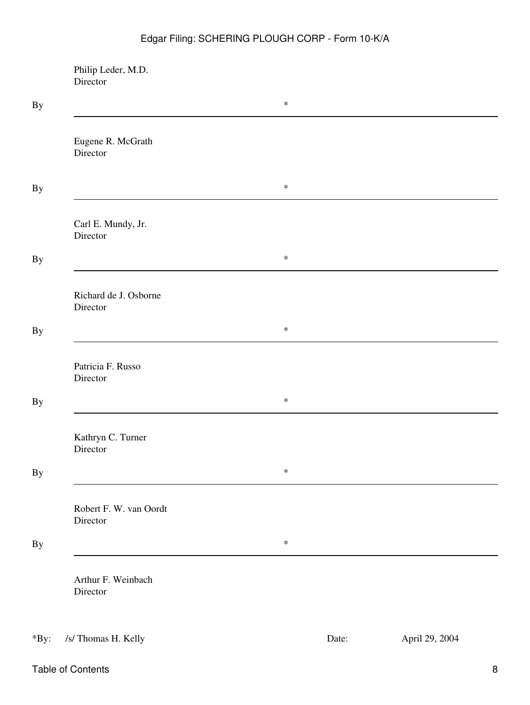| Philip Leder, M.D.<br>Director     |        |       |                |
|------------------------------------|--------|-------|----------------|
|                                    | $\ast$ |       |                |
| Eugene R. McGrath<br>Director      |        |       |                |
|                                    | $\ast$ |       |                |
| Carl E. Mundy, Jr.<br>Director     |        |       |                |
|                                    | $\ast$ |       |                |
| Richard de J. Osborne<br>Director  |        |       |                |
|                                    | $\ast$ |       |                |
| Patricia F. Russo<br>Director      |        |       |                |
|                                    | $\ast$ |       |                |
| Kathryn C. Turner<br>Director      |        |       |                |
|                                    | $\ast$ |       |                |
| Robert F. W. van Oordt<br>Director |        |       |                |
|                                    | $\ast$ |       |                |
| Arthur F. Weinbach<br>Director     |        |       |                |
| /s/ Thomas H. Kelly                |        | Date: | April 29, 2004 |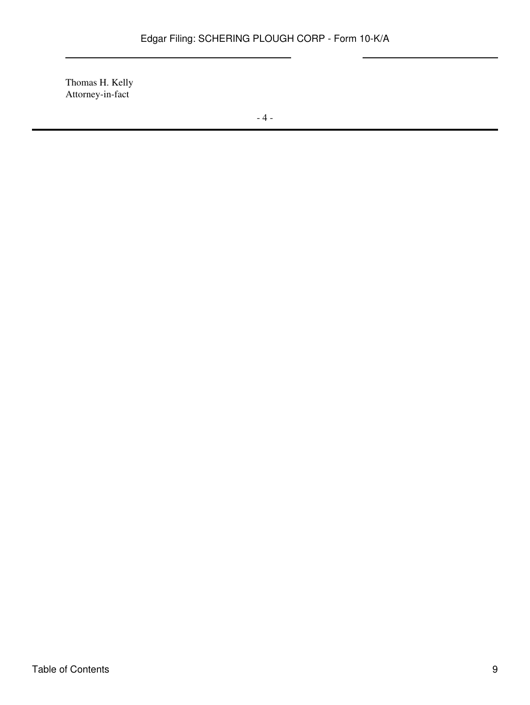Thomas H. Kelly Attorney-in-fact